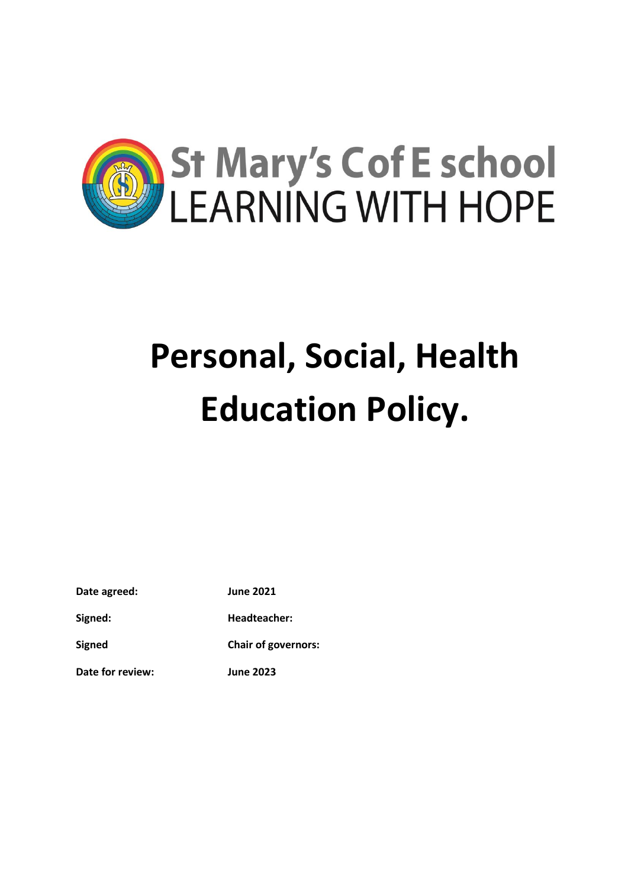

# **Personal, Social, Health Education Policy.**

**Date agreed: June 2021**

**Signed: Headteacher:**

**Signed Chair of governors:**

**Date for review: June 2023**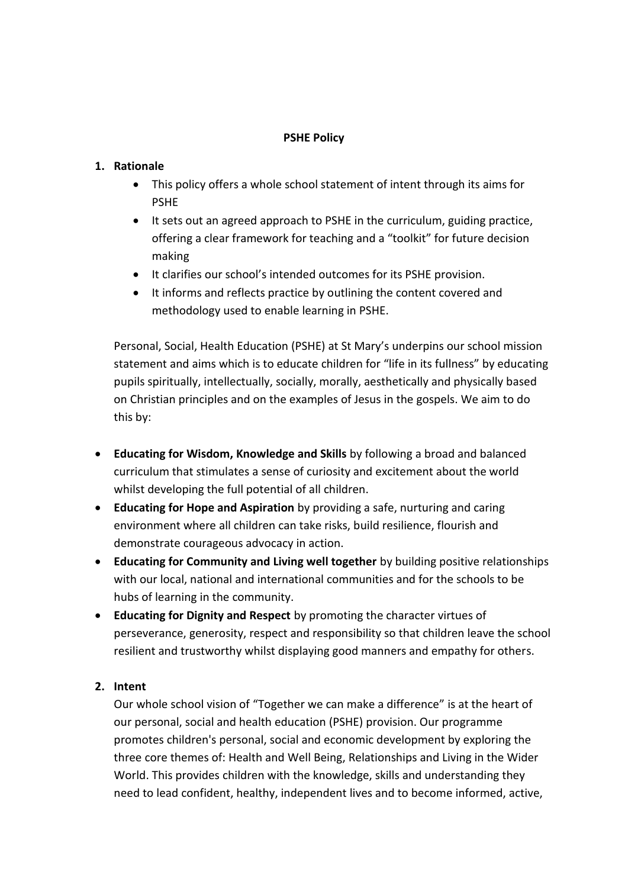# **PSHE Policy**

# **1. Rationale**

- This policy offers a whole school statement of intent through its aims for PSHE
- It sets out an agreed approach to PSHE in the curriculum, guiding practice, offering a clear framework for teaching and a "toolkit" for future decision making
- It clarifies our school's intended outcomes for its PSHE provision.
- It informs and reflects practice by outlining the content covered and methodology used to enable learning in PSHE.

Personal, Social, Health Education (PSHE) at St Mary's underpins our school mission statement and aims which is to educate children for "life in its fullness" by educating pupils spiritually, intellectually, socially, morally, aesthetically and physically based on Christian principles and on the examples of Jesus in the gospels. We aim to do this by:

- **Educating for Wisdom, Knowledge and Skills** by following a broad and balanced curriculum that stimulates a sense of curiosity and excitement about the world whilst developing the full potential of all children.
- **Educating for Hope and Aspiration** by providing a safe, nurturing and caring environment where all children can take risks, build resilience, flourish and demonstrate courageous advocacy in action.
- **Educating for Community and Living well together** by building positive relationships with our local, national and international communities and for the schools to be hubs of learning in the community.
- **Educating for Dignity and Respect** by promoting the character virtues of perseverance, generosity, respect and responsibility so that children leave the school resilient and trustworthy whilst displaying good manners and empathy for others.

# **2. Intent**

Our whole school vision of "Together we can make a difference" is at the heart of our personal, social and health education (PSHE) provision. Our programme promotes children's personal, social and economic development by exploring the three core themes of: Health and Well Being, Relationships and Living in the Wider World. This provides children with the knowledge, skills and understanding they need to lead confident, healthy, independent lives and to become informed, active,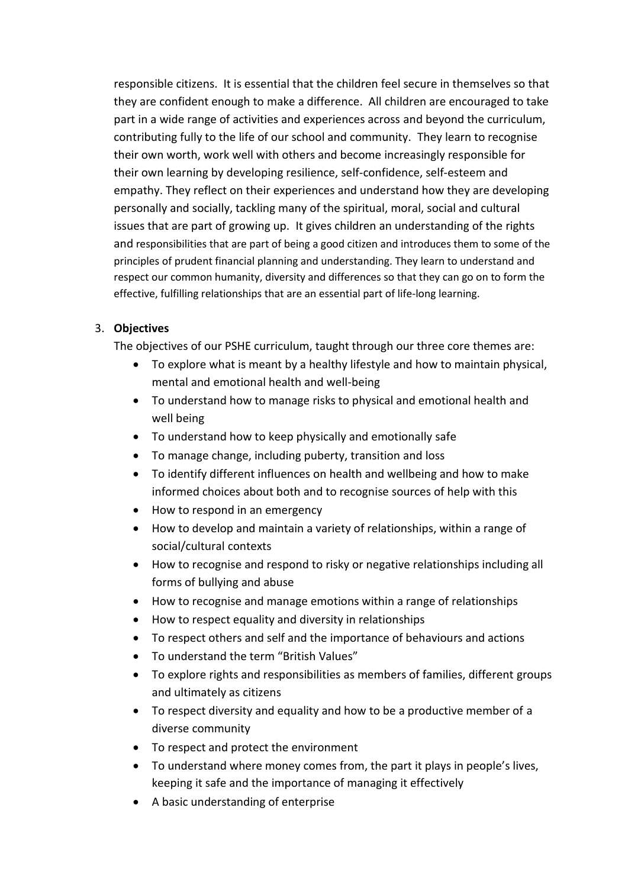responsible citizens. It is essential that the children feel secure in themselves so that they are confident enough to make a difference. All children are encouraged to take part in a wide range of activities and experiences across and beyond the curriculum, contributing fully to the life of our school and community. They learn to recognise their own worth, work well with others and become increasingly responsible for their own learning by developing resilience, self-confidence, self-esteem and empathy. They reflect on their experiences and understand how they are developing personally and socially, tackling many of the spiritual, moral, social and cultural issues that are part of growing up. It gives children an understanding of the rights and responsibilities that are part of being a good citizen and introduces them to some of the principles of prudent financial planning and understanding. They learn to understand and respect our common humanity, diversity and differences so that they can go on to form the effective, fulfilling relationships that are an essential part of life-long learning.

# 3. **Objectives**

The objectives of our PSHE curriculum, taught through our three core themes are:

- To explore what is meant by a healthy lifestyle and how to maintain physical, mental and emotional health and well-being
- To understand how to manage risks to physical and emotional health and well being
- To understand how to keep physically and emotionally safe
- To manage change, including puberty, transition and loss
- To identify different influences on health and wellbeing and how to make informed choices about both and to recognise sources of help with this
- How to respond in an emergency
- How to develop and maintain a variety of relationships, within a range of social/cultural contexts
- How to recognise and respond to risky or negative relationships including all forms of bullying and abuse
- How to recognise and manage emotions within a range of relationships
- How to respect equality and diversity in relationships
- To respect others and self and the importance of behaviours and actions
- To understand the term "British Values"
- To explore rights and responsibilities as members of families, different groups and ultimately as citizens
- To respect diversity and equality and how to be a productive member of a diverse community
- To respect and protect the environment
- To understand where money comes from, the part it plays in people's lives, keeping it safe and the importance of managing it effectively
- A basic understanding of enterprise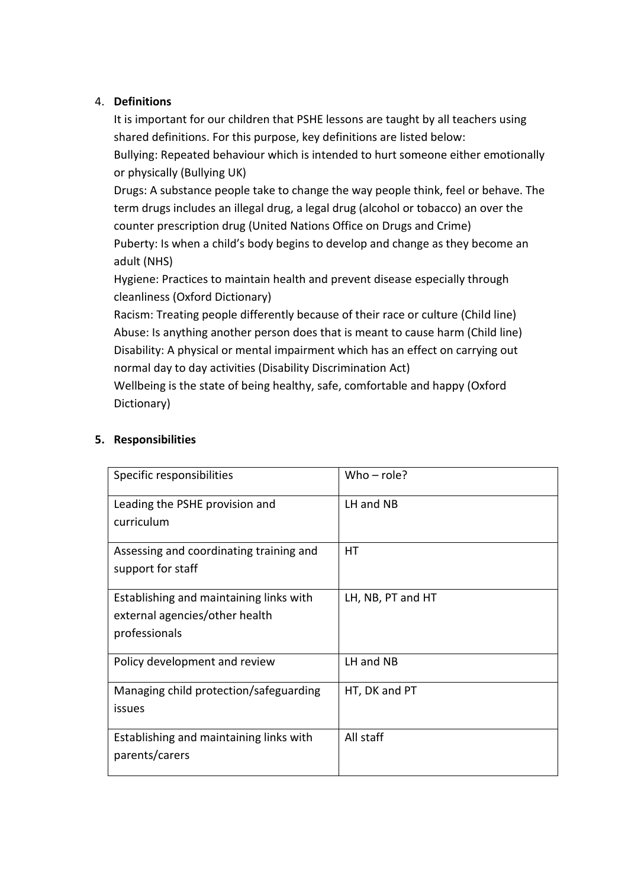# 4. **Definitions**

It is important for our children that PSHE lessons are taught by all teachers using shared definitions. For this purpose, key definitions are listed below:

Bullying: Repeated behaviour which is intended to hurt someone either emotionally or physically (Bullying UK)

Drugs: A substance people take to change the way people think, feel or behave. The term drugs includes an illegal drug, a legal drug (alcohol or tobacco) an over the counter prescription drug (United Nations Office on Drugs and Crime) Puberty: Is when a child's body begins to develop and change as they become an adult (NHS)

Hygiene: Practices to maintain health and prevent disease especially through cleanliness (Oxford Dictionary)

Racism: Treating people differently because of their race or culture (Child line) Abuse: Is anything another person does that is meant to cause harm (Child line) Disability: A physical or mental impairment which has an effect on carrying out normal day to day activities (Disability Discrimination Act)

Wellbeing is the state of being healthy, safe, comfortable and happy (Oxford Dictionary)

| Specific responsibilities               | Who $-$ role?     |
|-----------------------------------------|-------------------|
| Leading the PSHE provision and          | LH and NB         |
| curriculum                              |                   |
| Assessing and coordinating training and | HТ                |
| support for staff                       |                   |
| Establishing and maintaining links with | LH, NB, PT and HT |
| external agencies/other health          |                   |
| professionals                           |                   |
| Policy development and review           | LH and NB         |
| Managing child protection/safeguarding  | HT, DK and PT     |
| issues                                  |                   |
| Establishing and maintaining links with | All staff         |
| parents/carers                          |                   |
|                                         |                   |

# **5. Responsibilities**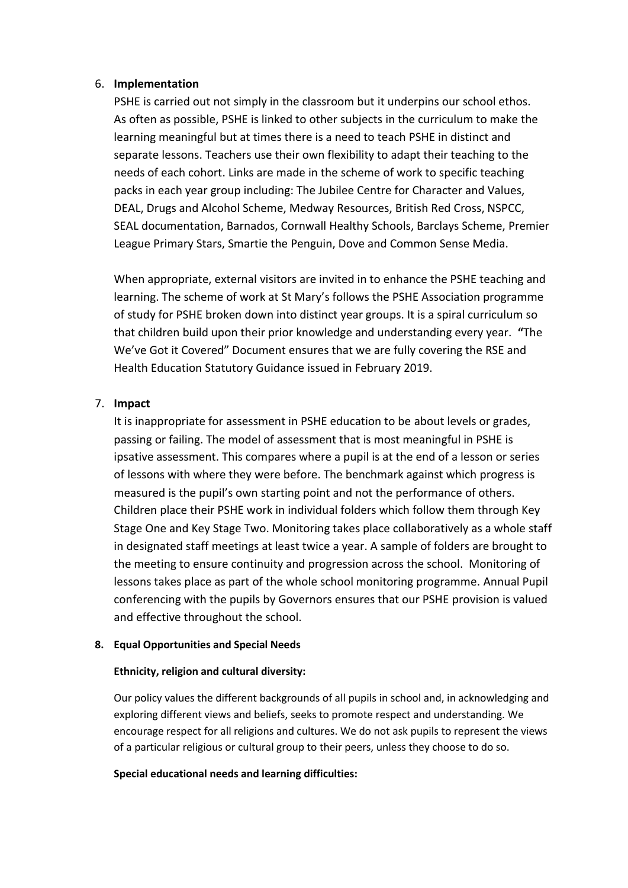#### 6. **Implementation**

PSHE is carried out not simply in the classroom but it underpins our school ethos. As often as possible, PSHE is linked to other subjects in the curriculum to make the learning meaningful but at times there is a need to teach PSHE in distinct and separate lessons. Teachers use their own flexibility to adapt their teaching to the needs of each cohort. Links are made in the scheme of work to specific teaching packs in each year group including: The Jubilee Centre for Character and Values, DEAL, Drugs and Alcohol Scheme, Medway Resources, British Red Cross, NSPCC, SEAL documentation, Barnados, Cornwall Healthy Schools, Barclays Scheme, Premier League Primary Stars, Smartie the Penguin, Dove and Common Sense Media.

When appropriate, external visitors are invited in to enhance the PSHE teaching and learning. The scheme of work at St Mary's follows the PSHE Association programme of study for PSHE broken down into distinct year groups. It is a spiral curriculum so that children build upon their prior knowledge and understanding every year. **"**The We've Got it Covered" Document ensures that we are fully covering the RSE and Health Education Statutory Guidance issued in February 2019.

# 7. **Impact**

It is inappropriate for assessment in PSHE education to be about levels or grades, passing or failing. The model of assessment that is most meaningful in PSHE is ipsative assessment. This compares where a pupil is at the end of a lesson or series of lessons with where they were before. The benchmark against which progress is measured is the pupil's own starting point and not the performance of others. Children place their PSHE work in individual folders which follow them through Key Stage One and Key Stage Two. Monitoring takes place collaboratively as a whole staff in designated staff meetings at least twice a year. A sample of folders are brought to the meeting to ensure continuity and progression across the school. Monitoring of lessons takes place as part of the whole school monitoring programme. Annual Pupil conferencing with the pupils by Governors ensures that our PSHE provision is valued and effective throughout the school.

#### **8. Equal Opportunities and Special Needs**

#### **Ethnicity, religion and cultural diversity:**

Our policy values the different backgrounds of all pupils in school and, in acknowledging and exploring different views and beliefs, seeks to promote respect and understanding. We encourage respect for all religions and cultures. We do not ask pupils to represent the views of a particular religious or cultural group to their peers, unless they choose to do so.

#### **Special educational needs and learning difficulties:**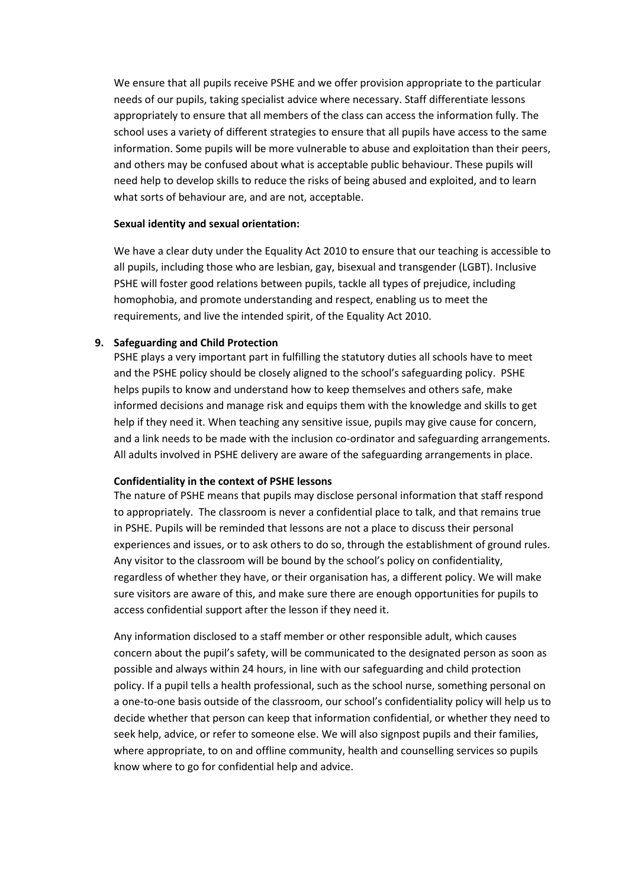We ensure that all pupils receive PSHE and we offer provision appropriate to the particular needs of our pupils, taking specialist advice where necessary. Staff differentiate lessons appropriately to ensure that all members of the class can access the information fully. The school uses a variety of different strategies to ensure that all pupils have access to the same information. Some pupils will be more vulnerable to abuse and exploitation than their peers, and others may be confused about what is acceptable public behaviour. These pupils will need help to develop skills to reduce the risks of being abused and exploited, and to learn what sorts of behaviour are, and are not, acceptable.

#### **Sexual identity and sexual orientation:**

We have a clear duty under the Equality Act 2010 to ensure that our teaching is accessible to all pupils, including those who are lesbian, gay, bisexual and transgender (LGBT). Inclusive PSHE will foster good relations between pupils, tackle all types of prejudice, including homophobia, and promote understanding and respect, enabling us to meet the requirements, and live the intended spirit, of the Equality Act 2010.

#### **9. Safeguarding and Child Protection**

PSHE plays a very important part in fulfilling the statutory duties all schools have to meet and the PSHE policy should be closely aligned to the school's safeguarding policy. PSHE helps pupils to know and understand how to keep themselves and others safe, make informed decisions and manage risk and equips them with the knowledge and skills to get help if they need it. When teaching any sensitive issue, pupils may give cause for concern, and a link needs to be made with the inclusion co-ordinator and safeguarding arrangements. All adults involved in PSHE delivery are aware of the safeguarding arrangements in place.

#### **Confidentiality in the context of PSHE lessons**

The nature of PSHE means that pupils may disclose personal information that staff respond to appropriately. The classroom is never a confidential place to talk, and that remains true in PSHE. Pupils will be reminded that lessons are not a place to discuss their personal experiences and issues, or to ask others to do so, through the establishment of ground rules. Any visitor to the classroom will be bound by the school's policy on confidentiality, regardless of whether they have, or their organisation has, a different policy. We will make sure visitors are aware of this, and make sure there are enough opportunities for pupils to access confidential support after the lesson if they need it.

Any information disclosed to a staff member or other responsible adult, which causes concern about the pupil's safety, will be communicated to the designated person as soon as possible and always within 24 hours, in line with our safeguarding and child protection policy. If a pupil tells a health professional, such as the school nurse, something personal on a one-to-one basis outside of the classroom, our school's confidentiality policy will help us to decide whether that person can keep that information confidential, or whether they need to seek help, advice, or refer to someone else. We will also signpost pupils and their families, where appropriate, to on and offline community, health and counselling services so pupils know where to go for confidential help and advice.